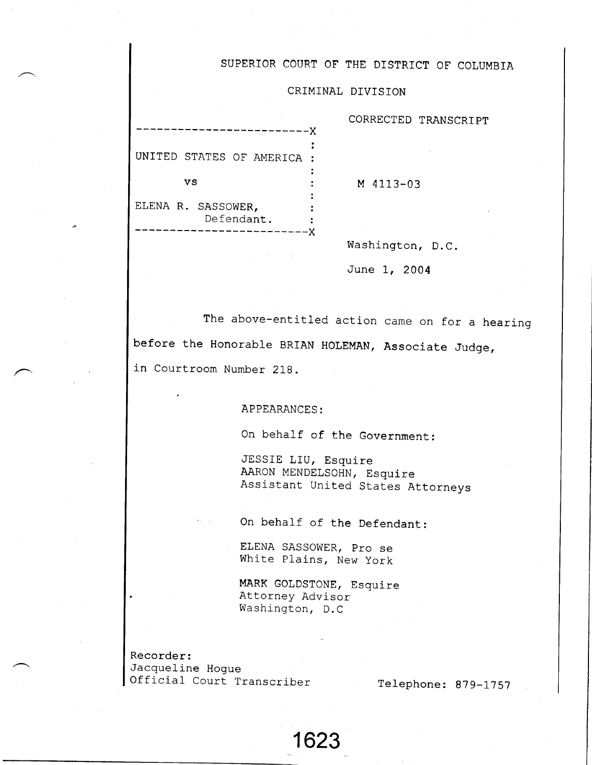## SUPERIOR COURT OF THE DISTRICT OF COLUMBIA

## CRIMINAL DIVISION

| UNITED STATES OF AMERICA         |  |
|----------------------------------|--|
| vs                               |  |
| ELENA R. SASSOWER,<br>Defendant. |  |

CORRECTED TRANSCRIPT

M 4113-03

Washington, D.C.

June I, 2004

The above-entitled action came on for a hearinq before the Honorable BRIAN HOLEMAN, Associate Judge, in Courtroom Number 218.

APPEARANCES:

On behalf of the Government:

JESSIE LIU, Esquire AARON MENDELSOHN, Esquire Asslstant United States Attorneys

On behalf of the Defendant:

ELENA SASSOWER, pro se White Plains, New york

MARK GOLDSTONE, Esquire Attorney Advisor Washington, D.C

1623

Recorder: Jacqueline Hogue Official Court Transcriber

Telephone: 879-1757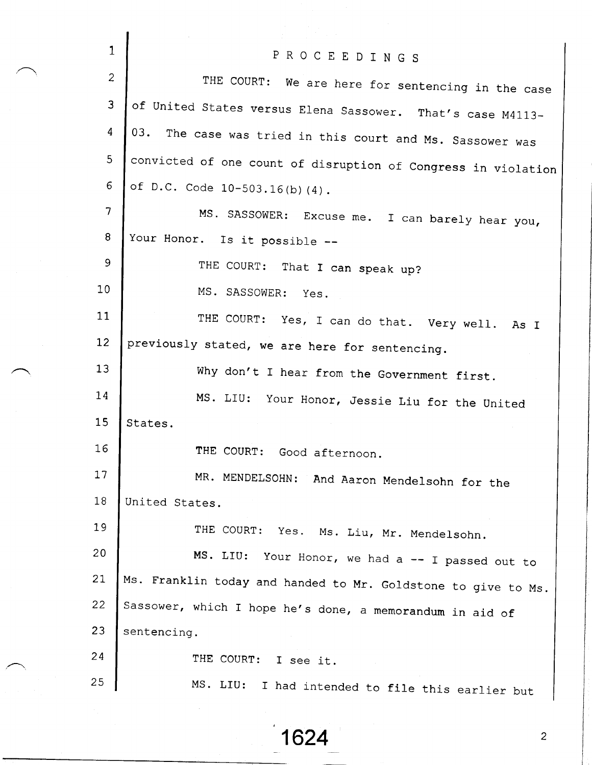| $\mathbf{1}$   | PROCEEDINGS                                                   |
|----------------|---------------------------------------------------------------|
| $\overline{2}$ | THE COURT: We are here for sentencing in the case             |
| 3              | of United States versus Elena Sassower. That's case M4113-    |
| 4              | 03. The case was tried in this court and Ms. Sassower was     |
| 5 <sub>o</sub> | convicted of one count of disruption of Congress in violation |
| 6              | of D.C. Code 10-503.16(b)(4).                                 |
| $\overline{7}$ | MS. SASSOWER: Excuse me. I can barely hear you,               |
| 8              | Your Honor. Is it possible --                                 |
| 9              | THE COURT: That I can speak up?                               |
| 10             | MS. SASSOWER: Yes.                                            |
| 11             | THE COURT: Yes, I can do that. Very well. As I                |
| 12             | previously stated, we are here for sentencing.                |
| 13             | Why don't I hear from the Government first.                   |
| 14             | MS. LIU: Your Honor, Jessie Liu for the United                |
| 15             | States.                                                       |
| 16             | THE COURT: Good afternoon.                                    |
| 17             | MR. MENDELSOHN: And Aaron Mendelsohn for the                  |
| 18             | United States.                                                |
| 19             | THE COURT:<br>Yes. Ms. Liu, Mr. Mendelsohn.                   |
| 20             | MS. LIU: Your Honor, we had a -- I passed out to              |
| 21             | Ms. Franklin today and handed to Mr. Goldstone to give to Ms. |
| 22             | Sassower, which I hope he's done, a memorandum in aid of      |
| 23             | sentencing.                                                   |
| 24             | THE COURT:<br>I see it.                                       |
| 25             | MS. LIU:<br>I had intended to file this earlier but           |

1624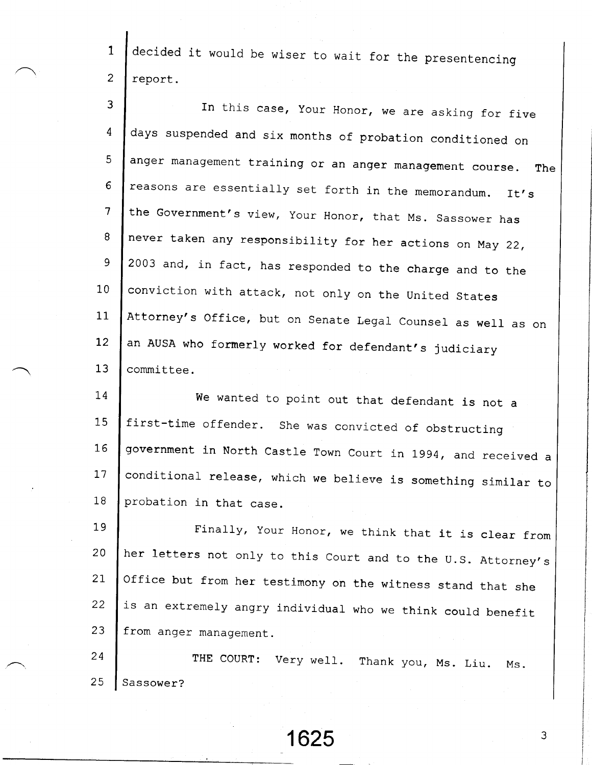1 2 decided it would be wiser to wait for the presentencing report.

3 In this case, Your Honor, we are asking for five days suspended and six months of probation conditioned on 4 anger management training or an anger management eourse. The 5 reasons are essentially set forth in the memorandum. It's 6 the Government's view, your Honor, that Ms. sassower has 1 never taken any responsibility for her actions on May 22,  $8^{\circ}$ a 2003 and, in fact, has responded to the charge and to the conviction with attack, not only on the united states  $10$ Attorney's Office, but on Senate Legal Counsel as well as on  $11$  $12$ an AUSA who formerly worked for defendant's judiciary 13 committee.

I 4 1 5 1 6 **17**  $18$ we wanted to point out that defendant is not a first-time offender. she was convicted of obstructing government in North Castle Town Court in 1994, and received a conditional release, which we believe is something similar to probation in that case.

**19** 2 0 21 22 2 3 Finally, Your Honor, we think that it is clear from her letters not only to this Court and to the U.S. Attorney's office but from her testimony on the witness stand that she is an extremely angry individual who we think could benefit from anger manaqement.

2 4 2 5 THE COURT: Very well. Thank you, Ms. Liu. Ms. Sassower?

1625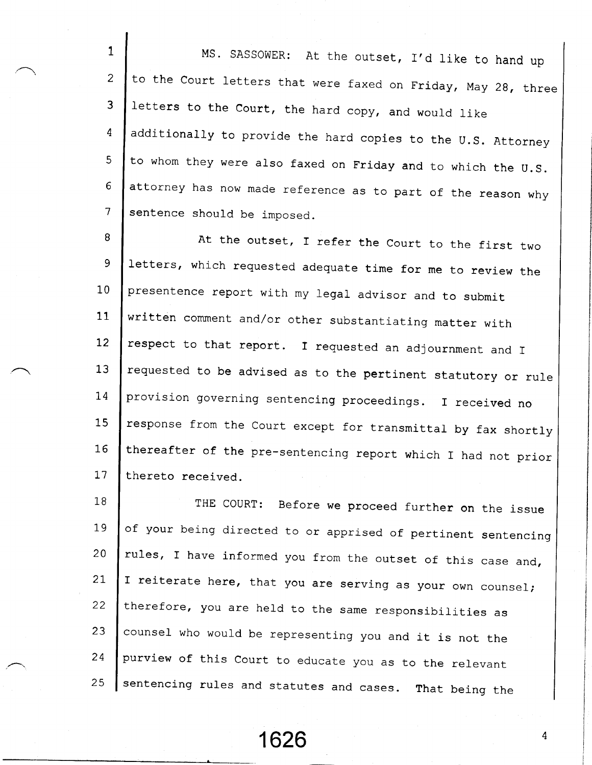1 2 3 4  $\overline{5}$ 6 I MS. SASSOWER: At the outset, I'd like to hand up to the court letters that were faxed on Friday, May 2g, three letters to the Court, the hard copy, and would like additionally to provide the hard copies to the U.S. Attorney to whom they were also faxed on Friday and to which the U.S. attorney has now made reference as to part of the reason why sentence should be imposed.

8 9  $10$  $11$  $12 \overline{ }$ 13 I 4 1 5 1.6  $17$ At the outset, I refer the Court to the first two letters, which requested adequate time for me to review the presentence report with my legal advisor and to submit written comment and/or other substantiating matter with respect to that report. I requested an adjournment and I requested to be advised as to the pertinent statutory or rule provision governing sentencing proceedings. I received no response from the Court except for transmittal by fax shortly thereafter of the pre-sentencing report which I had not prior thereto received.

1 8 I 9 2 0  $21$  $22$  $23$ 2 4 2 5 THE COURT: Before we proceed further on the issue of your being directed to or apprised of pertinent sentencing rules, I have informed you from the outset of this case and, I reiterate here, that you are serving as your own counsel; therefore, you are held to the same responsibilities as counsel who would be representing you and it is not the purview of this court to educate you as to the relevant sentencing rules and statutes and cases. That being the

1626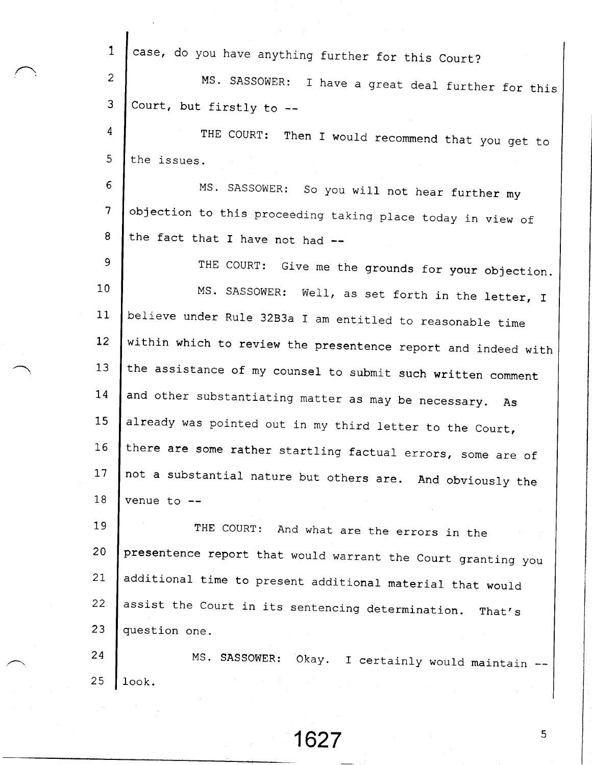| $\mathbf{1}$      | case, do you have anything further for this Court?            |
|-------------------|---------------------------------------------------------------|
| $\overline{2}$    | MS. SASSOWER: I have a great deal further for this            |
| 3                 | Court, but firstly to --                                      |
| 4                 | THE COURT:<br>Then I would recommend that you get to          |
| 5                 | the issues.                                                   |
| 6                 | MS. SASSOWER: So you will not hear further my                 |
| $\overline{7}$    | objection to this proceeding taking place today in view of    |
| 8                 | the fact that I have not had --                               |
| 9                 | THE COURT: Give me the grounds for your objection.            |
| 10 <sub>1</sub>   | MS. SASSOWER: Well, as set forth in the letter, I             |
| 11                | believe under Rule 32B3a I am entitled to reasonable time     |
| $12 \overline{ }$ | within which to review the presentence report and indeed with |
| 13                | the assistance of my counsel to submit such written comment   |
| 14                | and other substantiating matter as may be necessary. As       |
| 15                | already was pointed out in my third letter to the Court,      |
| 16                | there are some rather startling factual errors, some are of   |
| 17                | not a substantial nature but others are. And obviously the    |
| 18                | venue to --                                                   |
| 19                | THE COURT: And what are the errors in the                     |
| 20                | presentence report that would warrant the Court granting you  |
| 21                | additional time to present additional material that would     |
| 22                | assist the Court in its sentencing determination.<br>That's   |
| 23                | question one.                                                 |
| 24                | MS. SASSOWER: Okay. I certainly would maintain                |
| 25                | look.                                                         |

/:,

1627

 $\overline{5}$ 

ł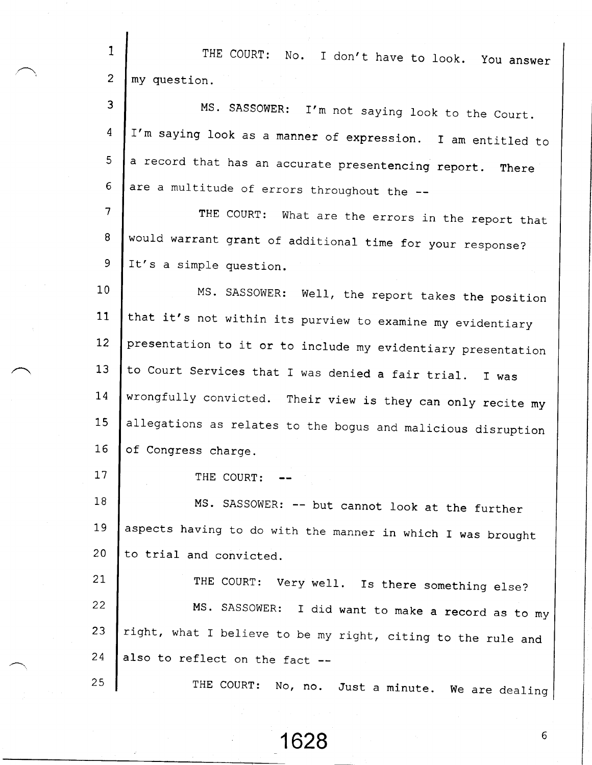1 THE COURT: No. I don't have to look. You answer 2 my question. 3 MS. SASSOWER: I'm not saying look to the Court. I'm saying look as a manner of expression. I am entitled to 4 5 a record that has an accurate presentencing report. There are a multitude of errors throughout the --6 7 THE COURT: What are the errors in the report that would warrant grant of additional time for your response? 8 9 It's a simple question.  $10$ MS. SASSOWER: Well, the report takes the position that it's not within its purview to examine my evidentiary 1 1  $12$ presentation to it or to include my evidentiary presentatio 1 3 to Court Services that I was denied a fair trial. I was I 4 wrongfully convicted. Their view is they can only recite my 1 5 allegations as relates to the bogus and malicious disruptio I 6 of Congress charqe. I 7 THE COURT: 1 8 Ms. SASSOWER: -- but cannot look at the further **19** aspects having to do with the manner in which I was brough 2 0 to trial and convicted. 21 THE COURT: Very well. Is there something else?  $22$ MS. SASSOWER: I did want to make a record as to my 23 right, what I believe to be my right, citing to the rule and z q also to reflect on the fac z 5 THE COURT: No, no. Just a minute. we are dealinq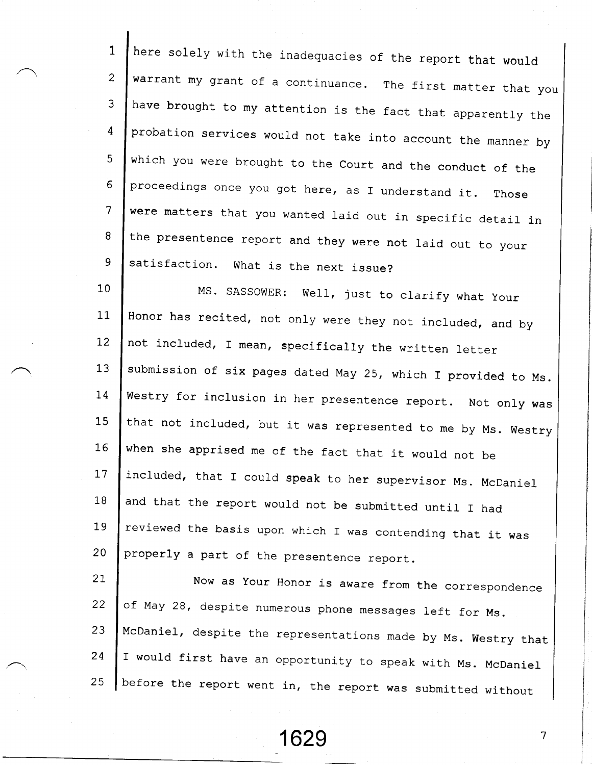1 2 J 4 5 6 7 8 9 here solely with the inadequacies of the report that would warrant my grant of a continuance. The first matter that you have brought to my attention is the fact that apparently the probation services would not take into account the manner by which you were brought to the court and the conduct of the proceedings once you got here, as I understand it. Those were matters that you wanted laid out in specific detail in the presentence report and they were not laid out to your satisfaction. What is the next issue?

1 0 11  $12 \overline{ }$ 1 3 I 4 15 1 6 17 1 8 19  $20$ MS. SASSOWER: WeII, just to clarify what your Honor has recited, not only were they not included, and by not included, I mean, specifically the written letter submission of six pages dated May 25, which I provided to Ms. Westry for inclusion in her presentence report. Not only was that not included, but it was represented to me by Ms. Westry when she apprised me of the fact that it would not be included, that I could speak to her supervisor Ms. McDaniel and that the report would not be submitted until I had reviewed the basis upon which I was contending that it was properly a part of the presentence report.

 $21$  $22$ 2 3 2 4 25 Now as Your Honor is aware from the correspondence of May 28, despite numerous phone messages left for Ms. McDaniel, despite the representations made by Ms. Westry tha I would first have an opportunity to speak with Ms. McDaniel before the report went in, the report was submitted withou

1629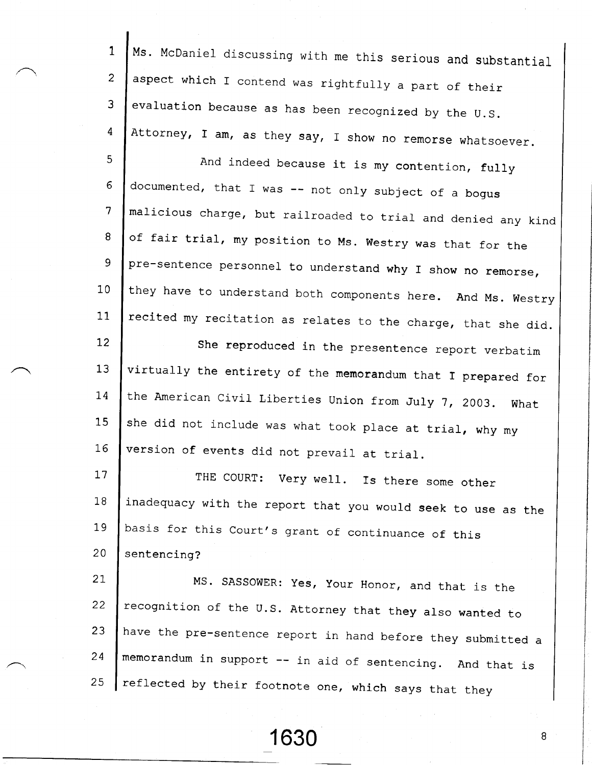1 2 3 4 Ms. McDaniel discussing with me this serious and substantial aspect which I contend was rightfully a part of their evaluation because as has been recognized by the U.S. Attorney, I am, as they say, I show no remorse whatsoever.

5 6 7 8 9  $10$  $11$ And indeed because it is my contention, fuIIy documented, that I was  $--$  not only subject of a bogus malicious charge, but railroaded to trial and denied any kind of fair trial, my position to Ms. Westry was that for the pre-sentence personnel to understand why I show no remorse, they have to understand both components here. And Ms. westry recited my recitation as relates to the charge, that she did.

 $12 \overline{ }$ 1 3 I 4 1 5 I 6 she reproduced in the presentence report verbatim virtually the entirety of the memorandum that I prepared for the American Civil Liberties Union from July 7, 2003. What she did not include was what took place at trial, why my version of events did not prevail at trial\_.

17 1 8 1,9 2 0 THE COURT: Very well. Is there some other inadequacy with the report that you would seek to use as the basis for this court's grant of continuance of this sentencing?

21  $22$ 2 3 2 4 2 5 MS. SASSOWER: yes, your Honor, and that is the recognition of the U.S. Attorney that they also wanted to have the pre-sentence report in hand before they submitted a memorandum in support -- in aid of sentencing. And that is reflected by their footnote one, which says that they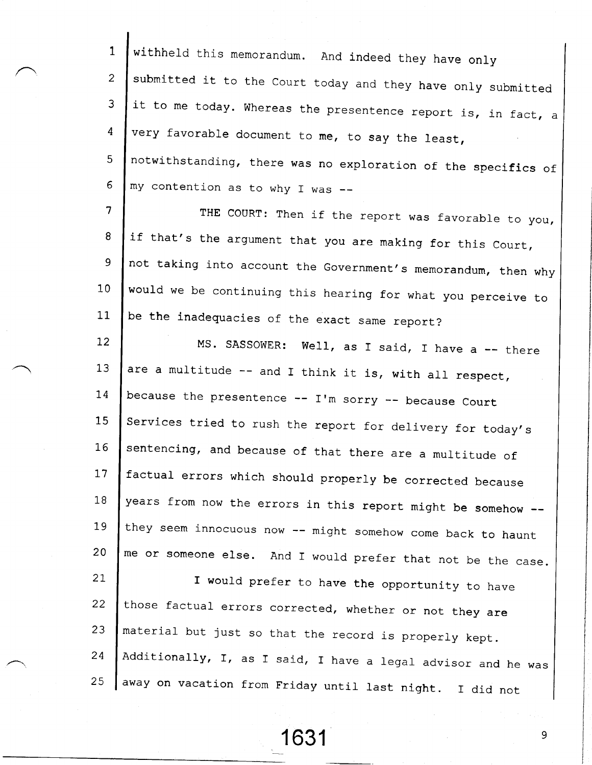1 2 3 4 5 6 7 8 9 1 0  $11$  $12<sup>2</sup>$ 13 I 4  $15$ I 6  $17$ 1 8 1 9 2 0 2 I 22 2 3 2 4 2 5 Additionally, I, as I said, I have a legal advisor and he was withheld this memorandum. And indeed they have only submitted it to the Court today and they have only submitted it to me today. whereas the presentence report is, in fact, a very favorable document to me, to say the least, notwithstanding, there was no exploration of the specifics of my contention as to why f was THE COURT: Then if the report was favorable to you, if that's the argument that you are making for this Court, not taking into account the Government's memorandum, then why would we be continuing this hearing for what you perceive to be the inadequacies of the exact same report? MS. SASSOWER: Well, as I said, I have a -- there are a multitude  $--$  and I think it is, with all respect, because the presentence  $--$  I'm sorry  $--$  because Court Services tried to rush the report for delivery for today's sentencing, and because of that there are a multitude of factual errors which should properly be corrected because years from now the errors in this report might be somehow -they seem innocuous now -- might somehow come back to haunt me or someone else. And I would prefer that not be the case. I would prefer to have the opportunity to have those factual errors corrected, whether or not they are material but just so that the record is properly kept. away on vacation from Friday until last night. I did not

1631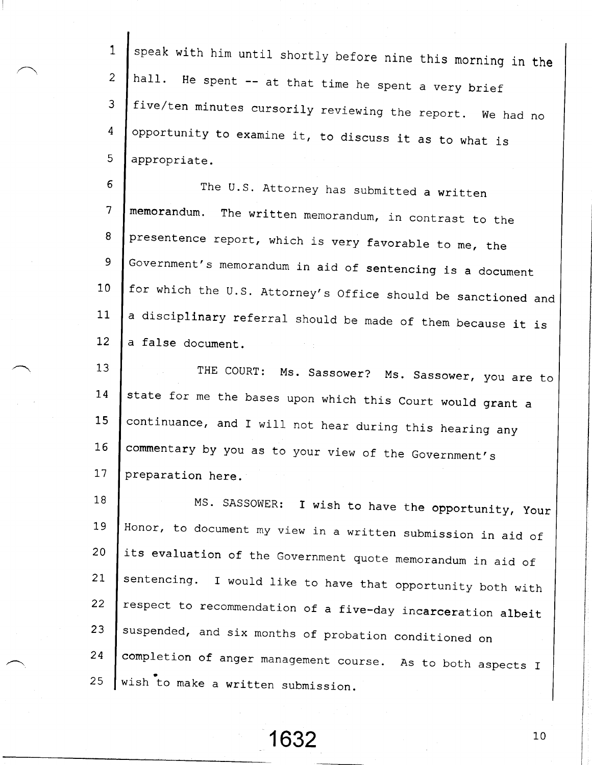1 2 3 4  $5<sub>1</sub>$ speak with him until shortly before nine this morning in the hall. He spent -- at that time he spent a very brie five/ten minutes cursorily reviewing the report. We had no opportunity to examine it, to discuss it as to what is appropriate.

6 7 8 9 1 0  $11$  $12<sup>2</sup>$ The U.S. Attorney has submitted a written memorandum. The written memorandum, in contrast to the presentence report, which is very favorable to me, the Government's memorandum in aid of sentencing is a document for which the U.S. Attorney's Office should be sanctioned and a discip**linary r**eferral should be made of them because it is a false document.

13  $14$ 15 I 6 17 THE COURT: Ms. Sassower? Ms. Sassower, you are to state for me the bases upon which this Court would grant a continuance, and I will not hear during this hearing any commentary by you as to your view of the Government's preparation here.

1 8 T 9 2 0  $21$  $22 \overline{ }$ 2 3 2 4 Z J Honor, to document my view in a written submission in aid of its evaluation of the Government quote memorandum in aid of sentencing. I would like to have that opportunity both with respect to recommendation of a five-day incarceration albei suspended, and six months of probation conditioned on completion of anger management course. As to both aspects I MS. SASSOWER: I wish to have the opportunity, Your wish to make a written submission.

 $1632$  1632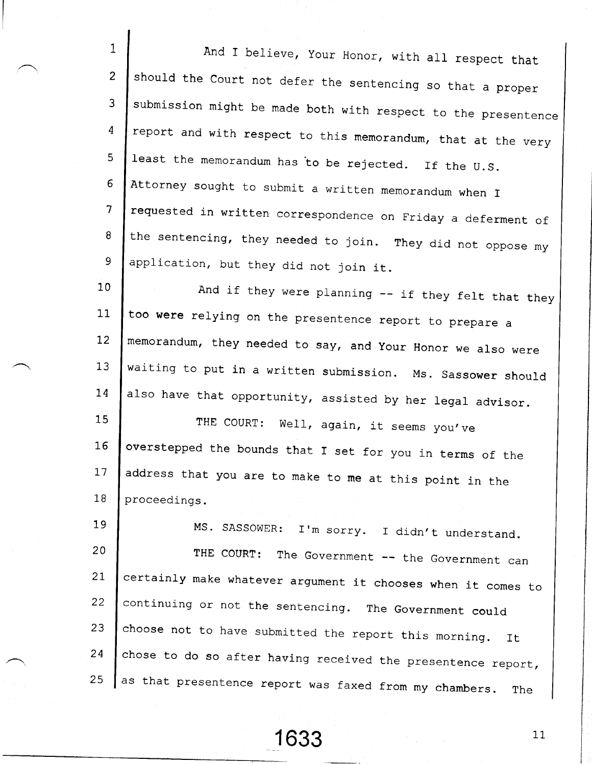i 2 3 4 5 6 7 8 9 1 0  $11$  $12$  $13$ 1 4 1 5 1 6 17 1 8 19 2 0 21. 22 23 2 4 And I believe, Your Honor, with all respect that should the Court not defer the sentencing so that a proper submission might be made both with respect to the presentence report and with respect to this memorandum, that at the very least the memorandum has to be rejected. If the U.S. Attorney sought to submit a written memorandum when I requested in written correspondence on Friday a deferment of the sentencing, they needed to join. They did not oppose my application, but they did not join it. And if they were planning  $-$  if they felt that they too were relying on the presentence report to prepare a memorandum, they needed to say, and your Honor we also were waiting to put in a written submission. Ms. sassower should also have that opportunity, assisted by her legal advisor. THE COURT: Well, again, it seems you've overstepped the bounds that I set for you in terms of the address that you are to make to me at this point in the proceedings. MS. SASSOWER: I'm sorry. I didn't understand. THE COURT: The Government -- the Government can certainly make whatever argument it chooses when it comes to continuing or not the sentencing. The Government could choose not to have submitted the report this morning. It chose to do so after having received the presentence report,

Z J as that presentence report was faxed from my chambers. The

163;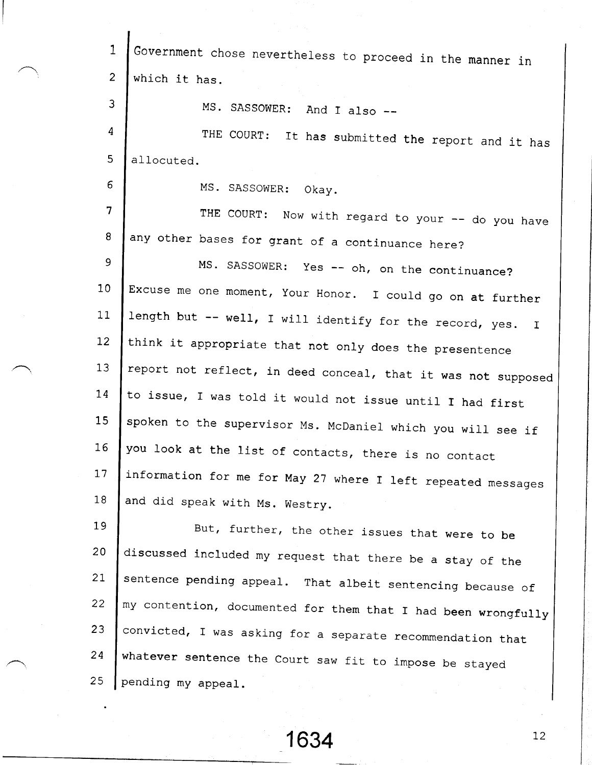| $\mathbf{1}$    | Government chose nevertheless to proceed in the manner in                |
|-----------------|--------------------------------------------------------------------------|
| $\overline{2}$  | which it has.                                                            |
| 3               | MS. SASSOWER:<br>And I also --                                           |
| $\overline{4}$  | THE COURT: It has submitted the report and it has                        |
| 5               | allocuted.                                                               |
| 6               | MS. SASSOWER:<br>Okay.                                                   |
| $\overline{7}$  | THE COURT: Now with regard to your -- do you have                        |
| 8               | any other bases for grant of a continuance here?                         |
| 9               | MS. SASSOWER: Yes -- oh, on the continuance?                             |
| 10 <sub>1</sub> | Excuse me one moment, Your Honor. I could go on at further               |
| 11              | length but -- well, I will identify for the record, yes.<br>$\mathbf{I}$ |
| 12              | think it appropriate that not only does the presentence                  |
| 13              | report not reflect, in deed conceal, that it was not supposed            |
| 14              | to issue, I was told it would not issue until I had first                |
| 15              | spoken to the supervisor Ms. McDaniel which you will see if              |
| 16              | you look at the list of contacts, there is no contact                    |
| 17              | information for me for May 27 where I left repeated messages             |
| 18              | and did speak with Ms. Westry.                                           |
| 19              | But, further, the other issues that were to be                           |
| 20              | discussed included my request that there be a stay of the                |
| 21              | sentence pending appeal. That albeit sentencing because of               |
| 22              | my contention, documented for them that I had been wrongfully            |
| 23              | convicted, I was asking for a separate recommendation that               |
| 24              | whatever sentence the Court saw fit to impose be stayed                  |
| 25              | pending my appeal.                                                       |

 $\mathbf{I}$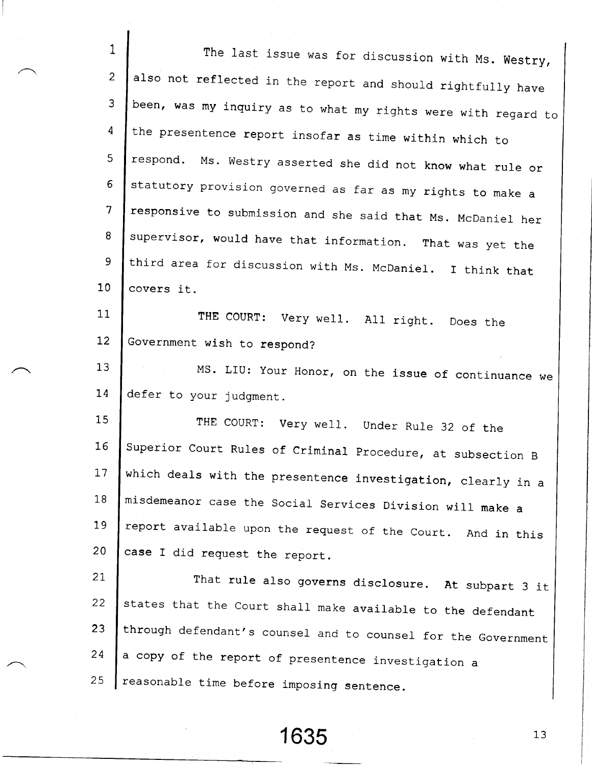| $\mathbf{1}$    | The last issue was for discussion with Ms. Westry,            |
|-----------------|---------------------------------------------------------------|
| $\overline{2}$  | also not reflected in the report and should rightfully have   |
| 3               | been, was my inquiry as to what my rights were with regard to |
| 4               | the presentence report insofar as time within which to        |
| 5               | respond. Ms. Westry asserted she did not know what rule or    |
| 6               | statutory provision governed as far as my rights to make a    |
| $7\phantom{.}$  | responsive to submission and she said that Ms. McDaniel her   |
| 8               | supervisor, would have that information. That was yet the     |
| 9               | third area for discussion with Ms. McDaniel. I think that     |
| 10 <sub>1</sub> | covers it.                                                    |
| 11              | THE COURT: Very well. All right. Does the                     |
| 12              | Government wish to respond?                                   |
| 13              | MS. LIU: Your Honor, on the issue of continuance we           |
| 14              | defer to your judgment.                                       |
| 15              | THE COURT: Very well. Under Rule 32 of the                    |
| 16              | Superior Court Rules of Criminal Procedure, at subsection B   |
| 17              | which deals with the presentence investigation, clearly in a  |
| 18              | misdemeanor case the Social Services Division will make a     |
| 19              | report available upon the request of the Court. And in this   |
| 20              | case I did request the report.                                |
| 21              | That rule also governs disclosure. At subpart 3 it            |
| 22              | states that the Court shall make available to the defendant   |
| 23.             | through defendant's counsel and to counsel for the Government |
| 24              | a copy of the report of presentence investigation a           |
| 25              | reasonable time before imposing sentence.                     |

 $1635$  13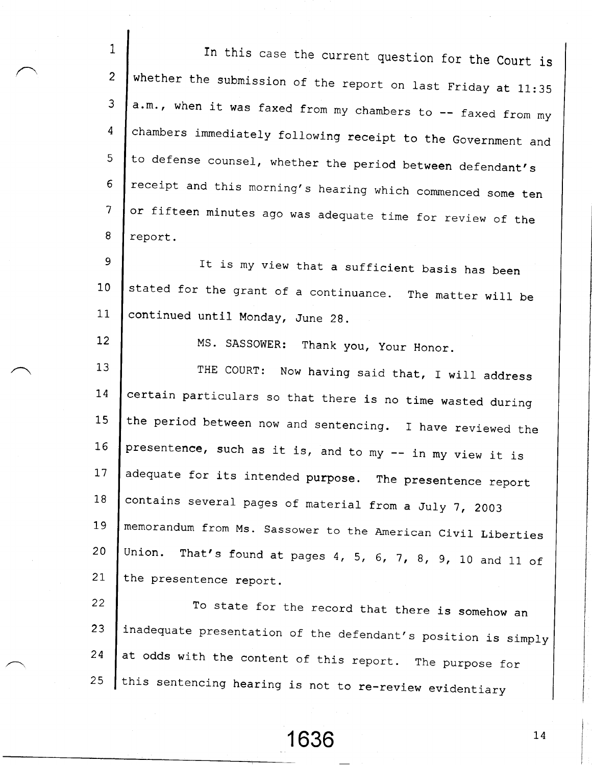1 2 3 4  $\overline{5}$ 6  $\overline{7}$ 8 In this case the current question for the Court is whether the submission of the report on last Friday at  $11:35$ a.m., when it was faxed from my chambers to -- faxed from my chambers immediately following receipt to the Government and to defense counsel, whether the period between defendant's receipt and this morning's hearing which commenced some ten or fifteen minutes ago was adequate time for review of the report.

9 1 0 11 stated for the grant of a continuance. The matter will be continued until Monday, June 29. It is my view that a sufficient basis has been

MS. SASSOWER: Thank you, your Honor.

12

 $13$  $14$ 15  $16$  $17$ 1 8 1\_9 2 0  $21$ THE COURT: Now having said that, I will address certain particulars so that there is no time wasted during the period between now and sentencing. I have reviewed the presentence, such as it is, and to my -- in my view it is adequate for its intended purpose. The presentence report contains several pages of material from a July 7, 2003 memorandum from Ms. sassower to the American civil Liberties Union. That's found at pages 4, 5, 6, 7, 8, 9, 10 and 11 of the presentence report.

22 23 2 4 2 5 To state for the record that there is somehow an inadequate presentation of the defendant's position is simply at odds with the content of this report. The purpose for this sentencing hearing is not to re-review evidentiar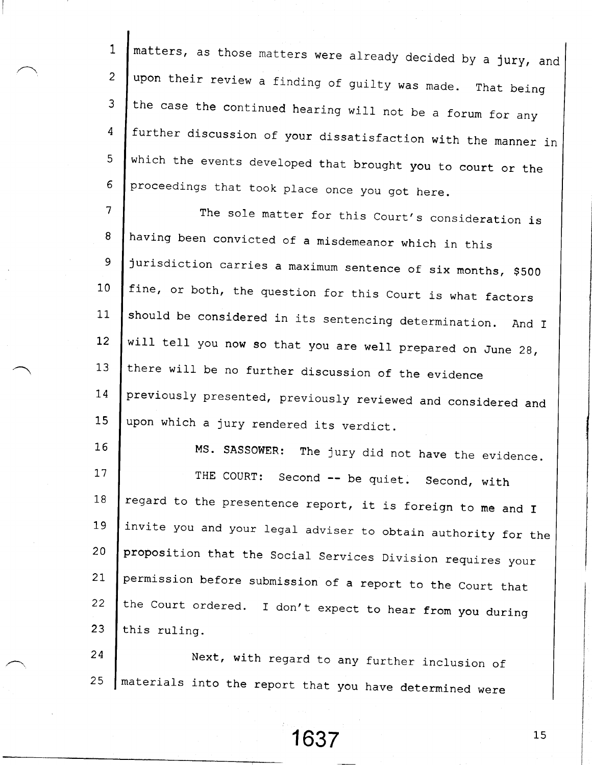1 2 ? 4  $5<sup>1</sup>$ 6 matters, as those matters were already decided by a jury, and upon their review a finding of guilty was made. That being the case the continued hearing will not be a forum for any further discussion of your dissatisfaction with the manner in which the events developed that brought you to court or the proceedings that took place once you got here.

.7 8 9 1 0  $11$  $12$  $13$ 1.4 15 The sole matter for this Court's consideration is having been convicted of a misdemeanor which in this jurisdiction carries a maximum sentence of six months, \$500 fine, or both, the question for this Court is what factors should be considered in its sentencing determination. And I will tell you now so that you are well prepared on June 28, there will be no further discussion of the evidence previously presented, previously reviewed and considered and upon which a jury rendered its verdict.

 $16$ 17 1 8 19 2 0 2 I  $22$ 23 MS. SASSOWER: The jury did not have the evidence. THE COURT: Second -- be quiet. Second, with regard to the presentence report, it is foreign to me and I invite you and your legal adviser to obtain authority for the proposition that the Social Services Division requires your permission before submission of a report to the court that the Court ordered. I don't expect to hear from you during this ruling.

2 4 2 5 Next, with regard to any further inclusion of materials into the report that you have determined were

163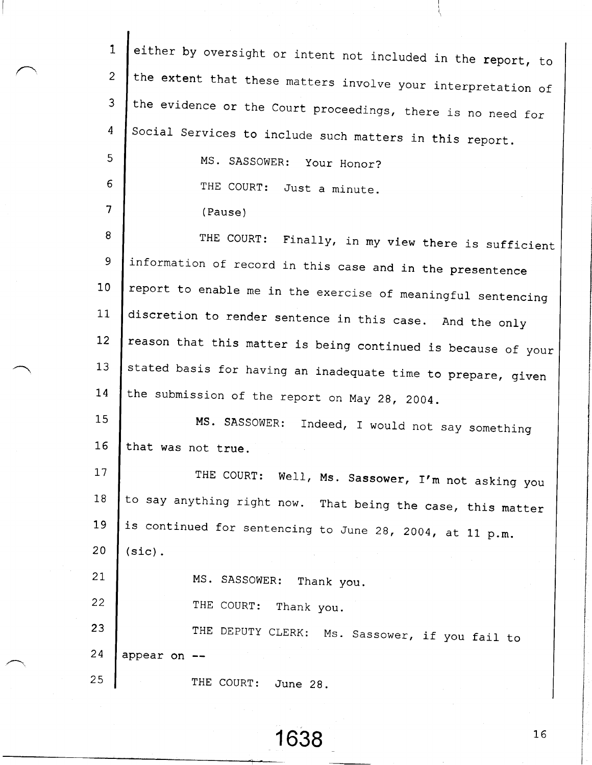| $\mathbf{1}$    | either by oversight or intent not included in the report, to  |
|-----------------|---------------------------------------------------------------|
| $\overline{2}$  | the extent that these matters involve your interpretation of  |
| $\overline{3}$  | the evidence or the Court proceedings, there is no need for   |
| 4               | Social Services to include such matters in this report.       |
| 5               | MS. SASSOWER: Your Honor?                                     |
| 6               | THE COURT:<br>Just a minute.                                  |
| 7               | (Pause)                                                       |
| 8               | THE COURT: Finally, in my view there is sufficient            |
| 9               | information of record in this case and in the presentence     |
| 10 <sub>1</sub> | report to enable me in the exercise of meaningful sentencing  |
| 11              | discretion to render sentence in this case. And the only      |
| 12              | reason that this matter is being continued is because of your |
| 13              | stated basis for having an inadequate time to prepare, given  |
| 14              | the submission of the report on May 28, 2004.                 |
| 15              | MS. SASSOWER:<br>Indeed, I would not say something            |
| 16              | that was not true.                                            |
| 17              | THE COURT: Well, Ms. Sassower, I'm not asking you             |
| 18              | to say anything right now. That being the case, this matter   |
| 19              | is continued for sentencing to June 28, 2004, at 11 p.m.      |
| 20              | $(sic)$ .                                                     |
| 21              | MS. SASSOWER: Thank you.                                      |
| 22              | THE COURT: Thank you.                                         |
| 23              | THE DEPUTY CLERK: Ms. Sassower, if you fail to                |
| 24              | appear on                                                     |
| 25              | THE COURT:<br>June 28.                                        |
|                 |                                                               |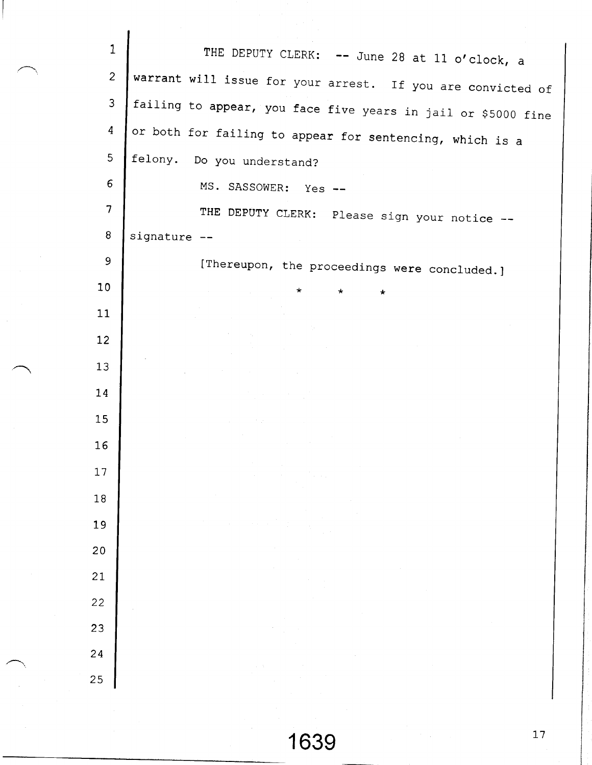| $\mathbf{1}$    | THE DEPUTY CLERK: -- June 28 at 11 o'clock, a                                                                                                                                                                                                                                                                                                                                                                                                                                                                                                                                                    |
|-----------------|--------------------------------------------------------------------------------------------------------------------------------------------------------------------------------------------------------------------------------------------------------------------------------------------------------------------------------------------------------------------------------------------------------------------------------------------------------------------------------------------------------------------------------------------------------------------------------------------------|
| $\overline{c}$  | warrant will issue for your arrest. If you are convicted of                                                                                                                                                                                                                                                                                                                                                                                                                                                                                                                                      |
| 3               | failing to appear, you face five years in jail or \$5000 fine                                                                                                                                                                                                                                                                                                                                                                                                                                                                                                                                    |
| 4               | or both for failing to appear for sentencing, which is a                                                                                                                                                                                                                                                                                                                                                                                                                                                                                                                                         |
| 5               | felony. Do you understand?                                                                                                                                                                                                                                                                                                                                                                                                                                                                                                                                                                       |
| $\epsilon$      | MS. SASSOWER: Yes --                                                                                                                                                                                                                                                                                                                                                                                                                                                                                                                                                                             |
| $\overline{7}$  | THE DEPUTY CLERK: Please sign your notice --                                                                                                                                                                                                                                                                                                                                                                                                                                                                                                                                                     |
| 8               | signature --                                                                                                                                                                                                                                                                                                                                                                                                                                                                                                                                                                                     |
| 9               | [Thereupon, the proceedings were concluded.]                                                                                                                                                                                                                                                                                                                                                                                                                                                                                                                                                     |
| 10 <sub>1</sub> | $\pmb{\times}$<br>the control of the control of the<br>$\star$<br>$\star$                                                                                                                                                                                                                                                                                                                                                                                                                                                                                                                        |
| 11              |                                                                                                                                                                                                                                                                                                                                                                                                                                                                                                                                                                                                  |
| 12 <sub>2</sub> | $\label{eq:2.1} \mathcal{A}=\mathcal{A}^{\text{max}}_{\text{max}}\left(\mathcal{A}^{\text{max}}_{\text{max}}\right) \left(\mathcal{A}^{\text{max}}_{\text{max}}\right)^{\text{max}}$<br>$\label{eq:2.1} \frac{d\mathbf{r}}{dt} = \frac{1}{2} \left[ \begin{array}{cc} \mathbf{r} & \mathbf{r} \\ \mathbf{r} & \mathbf{r} \end{array} \right] \begin{array}{ll} \mathbf{r} & \mathbf{r} \\ \mathbf{r} & \mathbf{r} \end{array} \begin{array}{ll} \mathbf{r} & \mathbf{r} \\ \mathbf{r} & \mathbf{r} \end{array} \begin{array}{ll} \mathbf{r} & \mathbf{r} \\ \mathbf{r} & \mathbf{r} \end{array}$ |
| 13              | and the company of the company                                                                                                                                                                                                                                                                                                                                                                                                                                                                                                                                                                   |
| 14              | $\label{eq:2.1} \mathcal{L}(\mathcal{H}_{\mathcal{A}}^{\mathcal{A}}(\mathcal{A})) = \mathcal{L}(\mathcal{A}^{\mathcal{A}}(\mathcal{A}))$                                                                                                                                                                                                                                                                                                                                                                                                                                                         |
| 15              |                                                                                                                                                                                                                                                                                                                                                                                                                                                                                                                                                                                                  |
| 16              | <b>Carl Corporation</b>                                                                                                                                                                                                                                                                                                                                                                                                                                                                                                                                                                          |
| 17              | $\sim 10^{-1}$<br>$\sim$                                                                                                                                                                                                                                                                                                                                                                                                                                                                                                                                                                         |
| 18              |                                                                                                                                                                                                                                                                                                                                                                                                                                                                                                                                                                                                  |
| 19              |                                                                                                                                                                                                                                                                                                                                                                                                                                                                                                                                                                                                  |
| 20              |                                                                                                                                                                                                                                                                                                                                                                                                                                                                                                                                                                                                  |
| 21              |                                                                                                                                                                                                                                                                                                                                                                                                                                                                                                                                                                                                  |
| 22              |                                                                                                                                                                                                                                                                                                                                                                                                                                                                                                                                                                                                  |
| 23              |                                                                                                                                                                                                                                                                                                                                                                                                                                                                                                                                                                                                  |
| 24              |                                                                                                                                                                                                                                                                                                                                                                                                                                                                                                                                                                                                  |
| 25              |                                                                                                                                                                                                                                                                                                                                                                                                                                                                                                                                                                                                  |